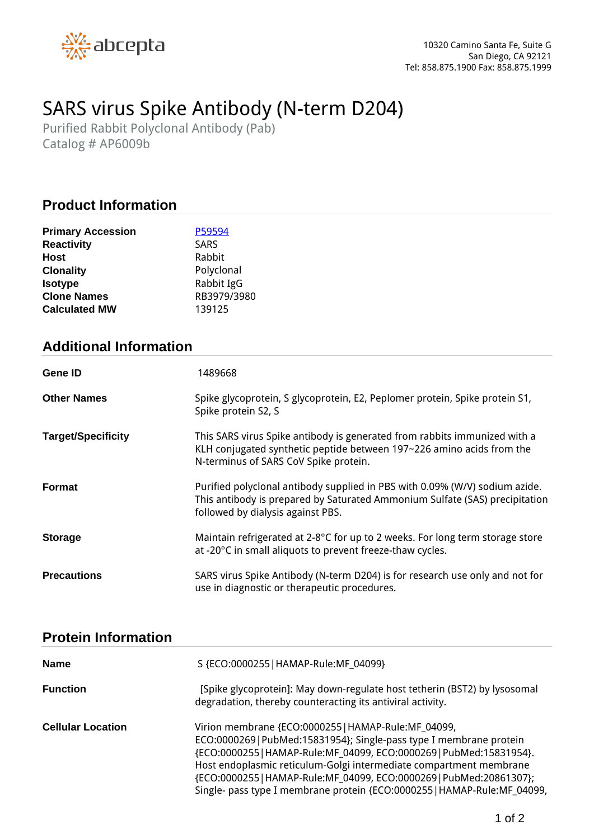

# *SARS virus Spike Antibody (N-term D204)*

*Purified Rabbit Polyclonal Antibody (Pab) Catalog # AP6009b*

## **Product Information**

| <b>Primary Accession</b> | P59594      |
|--------------------------|-------------|
| <b>Reactivity</b>        | <b>SARS</b> |
| Host                     | Rabbit      |
| <b>Clonality</b>         | Polyclonal  |
| <b>Isotype</b>           | Rabbit IgG  |
| <b>Clone Names</b>       | RB3979/3980 |
| <b>Calculated MW</b>     | 139125      |

## **Additional Information**

| <b>Gene ID</b>            | 1489668                                                                                                                                                                                         |
|---------------------------|-------------------------------------------------------------------------------------------------------------------------------------------------------------------------------------------------|
| <b>Other Names</b>        | Spike glycoprotein, S glycoprotein, E2, Peplomer protein, Spike protein S1,<br>Spike protein S2, S                                                                                              |
| <b>Target/Specificity</b> | This SARS virus Spike antibody is generated from rabbits immunized with a<br>KLH conjugated synthetic peptide between 197~226 amino acids from the<br>N-terminus of SARS CoV Spike protein.     |
| <b>Format</b>             | Purified polyclonal antibody supplied in PBS with 0.09% (W/V) sodium azide.<br>This antibody is prepared by Saturated Ammonium Sulfate (SAS) precipitation<br>followed by dialysis against PBS. |
| <b>Storage</b>            | Maintain refrigerated at 2-8°C for up to 2 weeks. For long term storage store<br>at -20°C in small aliquots to prevent freeze-thaw cycles.                                                      |
| <b>Precautions</b>        | SARS virus Spike Antibody (N-term D204) is for research use only and not for<br>use in diagnostic or therapeutic procedures.                                                                    |

#### **Protein Information**

| <b>Name</b>              | S {ECO:0000255   HAMAP-Rule:MF_04099}                                                                                                                                                                                                                                                                                                                                                                                  |
|--------------------------|------------------------------------------------------------------------------------------------------------------------------------------------------------------------------------------------------------------------------------------------------------------------------------------------------------------------------------------------------------------------------------------------------------------------|
| <b>Function</b>          | [Spike glycoprotein]: May down-regulate host tetherin (BST2) by lysosomal<br>degradation, thereby counteracting its antiviral activity.                                                                                                                                                                                                                                                                                |
| <b>Cellular Location</b> | Virion membrane {ECO:0000255   HAMAP-Rule:MF_04099,<br>ECO:0000269   PubMed:15831954}; Single-pass type I membrane protein<br>{ECO:0000255   HAMAP-Rule:MF_04099, ECO:0000269   PubMed:15831954}.<br>Host endoplasmic reticulum-Golgi intermediate compartment membrane<br>{ECO:0000255 HAMAP-Rule:MF_04099, ECO:0000269 PubMed:20861307};<br>Single- pass type I membrane protein {ECO:0000255   HAMAP-Rule:MF_04099, |